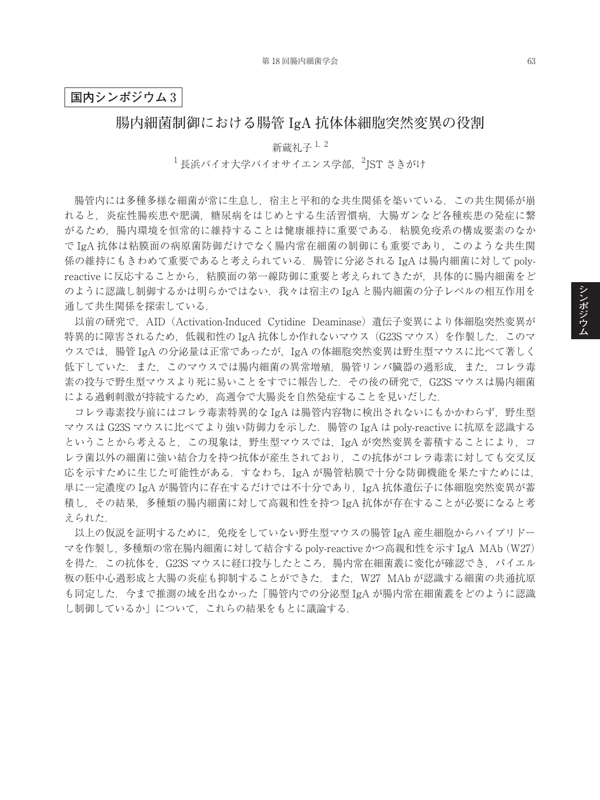### **国内シンポジウム** 3

## **腸内細菌制御における腸管 IgA 抗体体細胞突然変異の役割**

新蔵礼子<sup>1,2</sup>  $^1$ 長浜バイオ大学バイオサイエンス学部, $^2$ JST さきがけ

腸管内には多種多様な細菌が常に生息し,宿主と平和的な共生関係を築いている.この共生関係が崩 れると,炎症性腸疾患や肥満,糖尿病をはじめとする生活習慣病,大腸ガンなど各種疾患の発症に繋 がるため,腸内環境を恒常的に維持することは健康維持に重要である.粘膜免疫系の構成要素のなか で IgA 抗体は粘膜面の病原菌防御だけでなく腸内常在細菌の制御にも重要であり,このような共生関 係の維持にもきわめて重要であると考えられている.腸管に分泌される IgA は腸内細菌に対して polyreactive に反応することから,粘膜面の第一線防御に重要と考えられてきたが,具体的に腸内細菌をど のように認識し制御するかは明らかではない. 我々は宿主の IgA と腸内細菌の分子レベルの相互作用を 通して共生関係を探索している.

以前の研究で、AID (Activation-Induced Cytidine Deaminase) 遺伝子変異により体細胞突然変異が 特異的に障害されるため, 低親和性の IgA 抗体しか作れないマウス (G23S マウス) を作製した. このマ ウスでは、腸管 IgA の分泌量は正常であったが、IgA の体細胞突然変異は野生型マウスに比べて著しく 低下していた.また,このマウスでは腸内細菌の異常増殖,腸管リンパ臓器の過形成,また,コレラ毒 素の投与で野生型マウスより死に易いことをすでに報告した. その後の研究で. G23S マウスは腸内細菌 による過剰刺激が持続するため、高週令で大腸炎を自然発症することを見いだした.

コレラ毒素投与前にはコレラ毒素特異的な IgA は腸管内容物に検出されないにもかかわらず、野生型 マウスは G23S マウスに比べてより強い防御力を示した.腸管の IgA は poly-reactive に抗原を認識する ということから考えると、この現象は、野生型マウスでは、IgA が突然変異を蓄積することにより、コ レラ菌以外の細菌に強い結合力を持つ抗体が産生されており,この抗体がコレラ毒素に対しても交叉反 応を示すために生じた可能性がある.すなわち,IgA が腸管粘膜で十分な防御機能を果たすためには, 単に一定濃度の IgA が腸管内に存在するだけでは不十分であり,IgA 抗体遺伝子に体細胞突然変異が蓄 積し,その結果,多種類の腸内細菌に対して高親和性を持つ IgA 抗体が存在することが必要になると考 えられた.

以上の仮説を証明するために,免疫をしていない野生型マウスの腸管 IgA 産生細胞からハイブリドー マを作製し,多種類の常在腸内細菌に対して結合するpoly-reactiveかつ高親和性を示すIgA MAb(W27) を得た.この抗体を,G23S マウスに経口投与したところ,腸内常在細菌叢に変化が確認でき,パイエル 板の胚中心過形成と大腸の炎症も抑制することができた. また, W27 MAb が認識する細菌の共通抗原 も同定した.今まで推測の域を出なかった「腸管内での分泌型 IgA が腸内常在細菌叢をどのように認識 し制御しているか」について,これらの結果をもとに議論する.